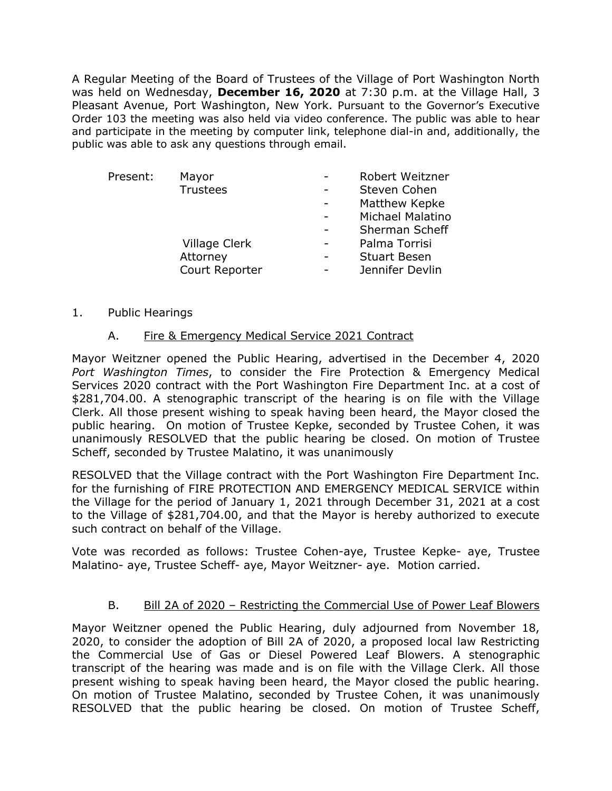A Regular Meeting of the Board of Trustees of the Village of Port Washington North was held on Wednesday, **December 16, 2020** at 7:30 p.m. at the Village Hall, 3 Pleasant Avenue, Port Washington, New York. Pursuant to the Governor's Executive Order 103 the meeting was also held via video conference. The public was able to hear and participate in the meeting by computer link, telephone dial-in and, additionally, the public was able to ask any questions through email.

| Present: | Mayor           | <b>Robert Weitzner</b>  |
|----------|-----------------|-------------------------|
|          | <b>Trustees</b> | Steven Cohen            |
|          |                 | Matthew Kepke           |
|          |                 | <b>Michael Malatino</b> |
|          |                 | Sherman Scheff          |
|          | Village Clerk   | Palma Torrisi           |
|          | Attorney        | <b>Stuart Besen</b>     |
|          | Court Reporter  | Jennifer Devlin         |
|          |                 |                         |

#### 1. Public Hearings

### A. Fire & Emergency Medical Service 2021 Contract

Mayor Weitzner opened the Public Hearing, advertised in the December 4, 2020 *Port Washington Times*, to consider the Fire Protection & Emergency Medical Services 2020 contract with the Port Washington Fire Department Inc. at a cost of \$281,704.00. A stenographic transcript of the hearing is on file with the Village Clerk. All those present wishing to speak having been heard, the Mayor closed the public hearing. On motion of Trustee Kepke, seconded by Trustee Cohen, it was unanimously RESOLVED that the public hearing be closed. On motion of Trustee Scheff, seconded by Trustee Malatino, it was unanimously

RESOLVED that the Village contract with the Port Washington Fire Department Inc. for the furnishing of FIRE PROTECTION AND EMERGENCY MEDICAL SERVICE within the Village for the period of January 1, 2021 through December 31, 2021 at a cost to the Village of \$281,704.00, and that the Mayor is hereby authorized to execute such contract on behalf of the Village.

Vote was recorded as follows: Trustee Cohen-aye, Trustee Kepke- aye, Trustee Malatino- aye, Trustee Scheff- aye, Mayor Weitzner- aye. Motion carried.

### B. Bill 2A of 2020 – Restricting the Commercial Use of Power Leaf Blowers

Mayor Weitzner opened the Public Hearing, duly adjourned from November 18, 2020, to consider the adoption of Bill 2A of 2020, a proposed local law Restricting the Commercial Use of Gas or Diesel Powered Leaf Blowers. A stenographic transcript of the hearing was made and is on file with the Village Clerk. All those present wishing to speak having been heard, the Mayor closed the public hearing. On motion of Trustee Malatino, seconded by Trustee Cohen, it was unanimously RESOLVED that the public hearing be closed. On motion of Trustee Scheff,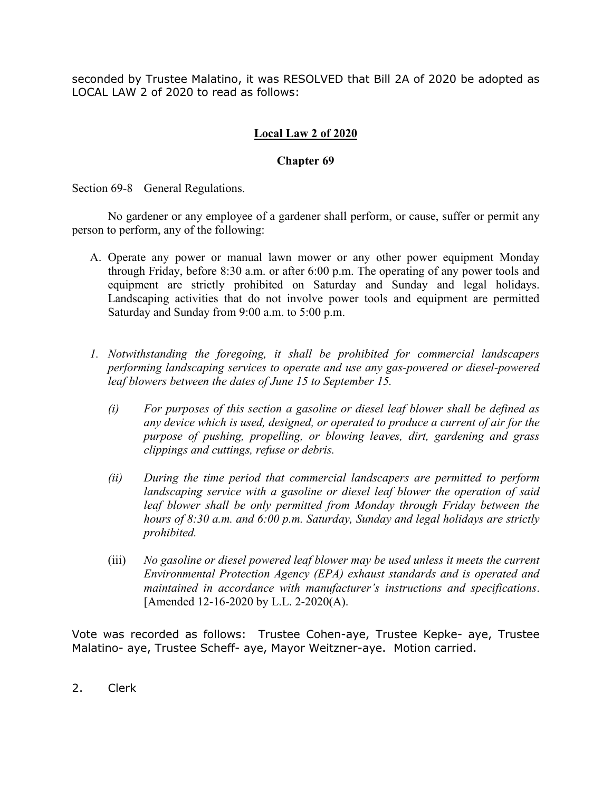seconded by Trustee Malatino, it was RESOLVED that Bill 2A of 2020 be adopted as LOCAL LAW 2 of 2020 to read as follows:

#### **Local Law 2 of 2020**

#### **Chapter 69**

Section 69-8 General Regulations.

No gardener or any employee of a gardener shall perform, or cause, suffer or permit any person to perform, any of the following:

- A. Operate any power or manual lawn mower or any other power equipment Monday through Friday, before 8:30 a.m. or after 6:00 p.m. The operating of any power tools and equipment are strictly prohibited on Saturday and Sunday and legal holidays. Landscaping activities that do not involve power tools and equipment are permitted Saturday and Sunday from 9:00 a.m. to 5:00 p.m.
- *1. Notwithstanding the foregoing, it shall be prohibited for commercial landscapers performing landscaping services to operate and use any gas-powered or diesel-powered leaf blowers between the dates of June 15 to September 15.* 
	- *(i) For purposes of this section a gasoline or diesel leaf blower shall be defined as any device which is used, designed, or operated to produce a current of air for the purpose of pushing, propelling, or blowing leaves, dirt, gardening and grass clippings and cuttings, refuse or debris.*
	- *(ii) During the time period that commercial landscapers are permitted to perform landscaping service with a gasoline or diesel leaf blower the operation of said leaf blower shall be only permitted from Monday through Friday between the hours of 8:30 a.m. and 6:00 p.m. Saturday, Sunday and legal holidays are strictly prohibited.*
	- (iii) *No gasoline or diesel powered leaf blower may be used unless it meets the current Environmental Protection Agency (EPA) exhaust standards and is operated and maintained in accordance with manufacturer's instructions and specifications*. [Amended 12-16-2020 by L.L. 2-2020(A).

Vote was recorded as follows: Trustee Cohen-aye, Trustee Kepke- aye, Trustee Malatino- aye, Trustee Scheff- aye, Mayor Weitzner-aye. Motion carried.

2. Clerk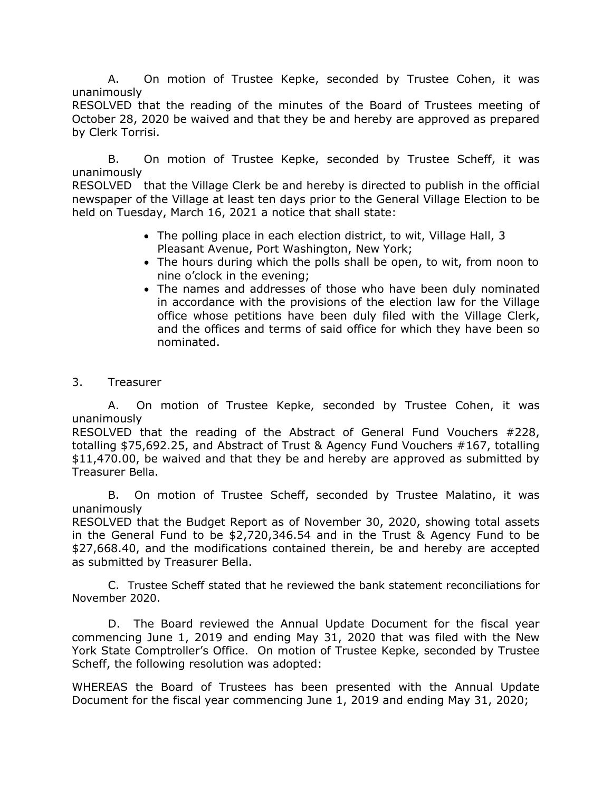A. On motion of Trustee Kepke, seconded by Trustee Cohen, it was unanimously

RESOLVED that the reading of the minutes of the Board of Trustees meeting of October 28, 2020 be waived and that they be and hereby are approved as prepared by Clerk Torrisi.

B. On motion of Trustee Kepke, seconded by Trustee Scheff, it was unanimously

RESOLVED that the Village Clerk be and hereby is directed to publish in the official newspaper of the Village at least ten days prior to the General Village Election to be held on Tuesday, March 16, 2021 a notice that shall state:

- The polling place in each election district, to wit, Village Hall, 3 Pleasant Avenue, Port Washington, New York;
- The hours during which the polls shall be open, to wit, from noon to nine o'clock in the evening;
- The names and addresses of those who have been duly nominated in accordance with the provisions of the election law for the Village office whose petitions have been duly filed with the Village Clerk, and the offices and terms of said office for which they have been so nominated.
- 3. Treasurer

A. On motion of Trustee Kepke, seconded by Trustee Cohen, it was unanimously

RESOLVED that the reading of the Abstract of General Fund Vouchers #228, totalling \$75,692.25, and Abstract of Trust & Agency Fund Vouchers #167, totalling \$11,470.00, be waived and that they be and hereby are approved as submitted by Treasurer Bella.

B. On motion of Trustee Scheff, seconded by Trustee Malatino, it was unanimously

RESOLVED that the Budget Report as of November 30, 2020, showing total assets in the General Fund to be \$2,720,346.54 and in the Trust & Agency Fund to be \$27,668.40, and the modifications contained therein, be and hereby are accepted as submitted by Treasurer Bella.

C. Trustee Scheff stated that he reviewed the bank statement reconciliations for November 2020.

D. The Board reviewed the Annual Update Document for the fiscal year commencing June 1, 2019 and ending May 31, 2020 that was filed with the New York State Comptroller's Office. On motion of Trustee Kepke, seconded by Trustee Scheff, the following resolution was adopted:

WHEREAS the Board of Trustees has been presented with the Annual Update Document for the fiscal year commencing June 1, 2019 and ending May 31, 2020;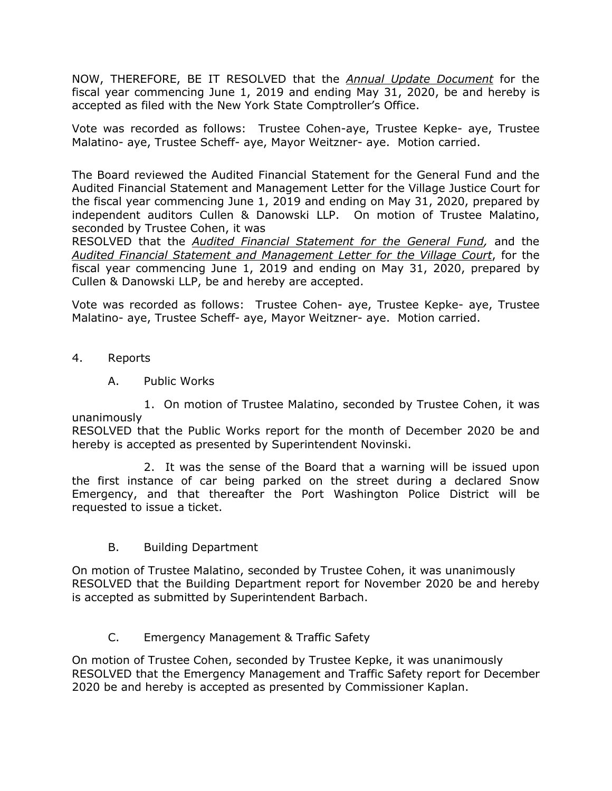NOW, THEREFORE, BE IT RESOLVED that the *Annual Update Document* for the fiscal year commencing June 1, 2019 and ending May 31, 2020, be and hereby is accepted as filed with the New York State Comptroller's Office.

Vote was recorded as follows: Trustee Cohen-aye, Trustee Kepke- aye, Trustee Malatino- aye, Trustee Scheff- aye, Mayor Weitzner- aye. Motion carried.

The Board reviewed the Audited Financial Statement for the General Fund and the Audited Financial Statement and Management Letter for the Village Justice Court for the fiscal year commencing June 1, 2019 and ending on May 31, 2020, prepared by independent auditors Cullen & Danowski LLP. On motion of Trustee Malatino, seconded by Trustee Cohen, it was

RESOLVED that the *Audited Financial Statement for the General Fund,* and the *Audited Financial Statement and Management Letter for the Village Court*, for the fiscal year commencing June 1, 2019 and ending on May 31, 2020, prepared by Cullen & Danowski LLP, be and hereby are accepted.

Vote was recorded as follows: Trustee Cohen- aye, Trustee Kepke- aye, Trustee Malatino- aye, Trustee Scheff- aye, Mayor Weitzner- aye. Motion carried.

- 4. Reports
	- A. Public Works

1. On motion of Trustee Malatino, seconded by Trustee Cohen, it was unanimously

RESOLVED that the Public Works report for the month of December 2020 be and hereby is accepted as presented by Superintendent Novinski.

2. It was the sense of the Board that a warning will be issued upon the first instance of car being parked on the street during a declared Snow Emergency, and that thereafter the Port Washington Police District will be requested to issue a ticket.

B. Building Department

On motion of Trustee Malatino, seconded by Trustee Cohen, it was unanimously RESOLVED that the Building Department report for November 2020 be and hereby is accepted as submitted by Superintendent Barbach.

### C. Emergency Management & Traffic Safety

On motion of Trustee Cohen, seconded by Trustee Kepke, it was unanimously RESOLVED that the Emergency Management and Traffic Safety report for December 2020 be and hereby is accepted as presented by Commissioner Kaplan.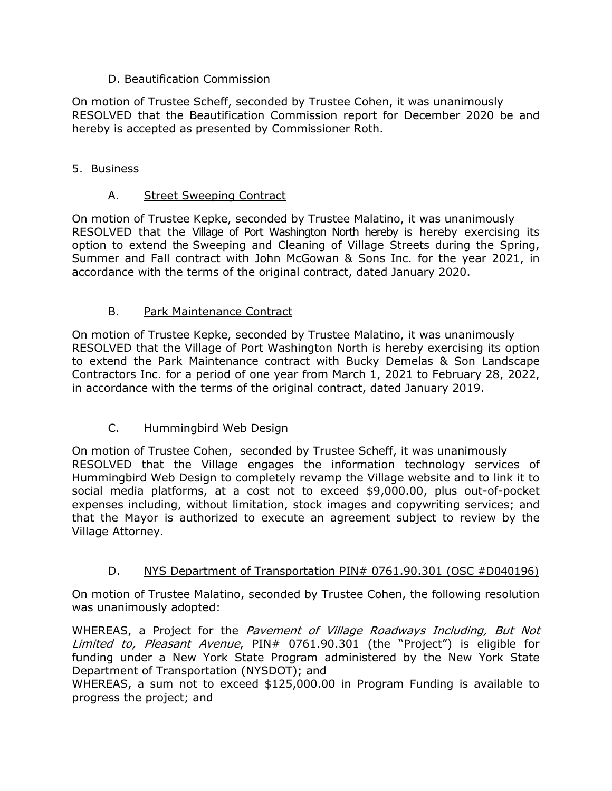## D. Beautification Commission

On motion of Trustee Scheff, seconded by Trustee Cohen, it was unanimously RESOLVED that the Beautification Commission report for December 2020 be and hereby is accepted as presented by Commissioner Roth.

## 5. Business

# A. Street Sweeping Contract

On motion of Trustee Kepke, seconded by Trustee Malatino, it was unanimously RESOLVED that the Village of Port Washington North hereby is hereby exercising its option to extend the Sweeping and Cleaning of Village Streets during the Spring, Summer and Fall contract with John McGowan & Sons Inc. for the year 2021, in accordance with the terms of the original contract, dated January 2020.

# B. Park Maintenance Contract

On motion of Trustee Kepke, seconded by Trustee Malatino, it was unanimously RESOLVED that the Village of Port Washington North is hereby exercising its option to extend the Park Maintenance contract with Bucky Demelas & Son Landscape Contractors Inc. for a period of one year from March 1, 2021 to February 28, 2022, in accordance with the terms of the original contract, dated January 2019.

# C. Hummingbird Web Design

On motion of Trustee Cohen, seconded by Trustee Scheff, it was unanimously RESOLVED that the Village engages the information technology services of Hummingbird Web Design to completely revamp the Village website and to link it to social media platforms, at a cost not to exceed \$9,000.00, plus out-of-pocket expenses including, without limitation, stock images and copywriting services; and that the Mayor is authorized to execute an agreement subject to review by the Village Attorney.

# D. NYS Department of Transportation PIN# 0761.90.301 (OSC #D040196)

On motion of Trustee Malatino, seconded by Trustee Cohen, the following resolution was unanimously adopted:

WHEREAS, a Project for the *Pavement of Village Roadways Including, But Not* Limited to, Pleasant Avenue, PIN# 0761.90.301 (the "Project") is eligible for funding under a New York State Program administered by the New York State Department of Transportation (NYSDOT); and

WHEREAS, a sum not to exceed \$125,000.00 in Program Funding is available to progress the project; and